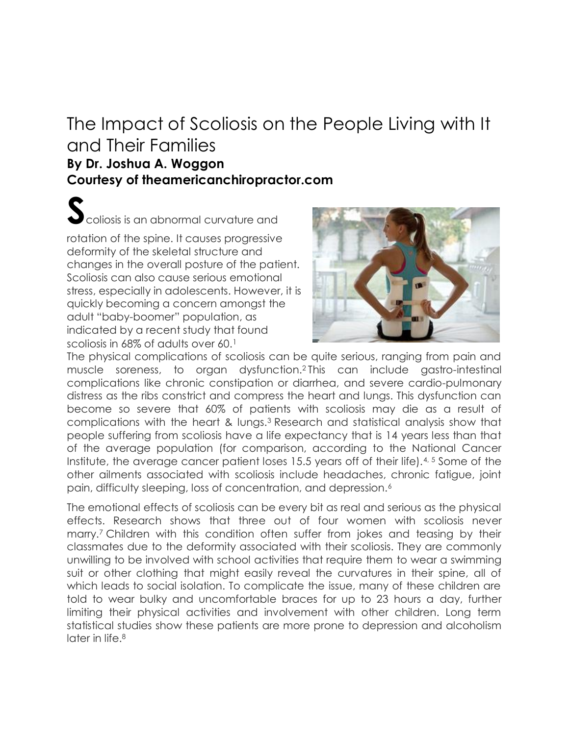## [The Impact of Scoliosis on the People Living with It](http://theamericanchiropractor.com/the-impact-of-scoliosis-on-the-people-living-with-it-and-their-families/)  [and Their Families](http://theamericanchiropractor.com/the-impact-of-scoliosis-on-the-people-living-with-it-and-their-families/)

## **By Dr. Joshua A. Woggon Courtesy of theamericanchiropractor.com**

**S**coliosis is an abnormal curvature and

rotation of the spine. It causes progressive deformity of the skeletal structure and changes in the overall posture of the patient. Scoliosis can also cause serious emotional stress, especially in adolescents. However, it is quickly becoming a concern amongst the adult "baby-boomer" population, as indicated by a recent study that found scoliosis in 68% of adults over 60.<sup>1</sup>



The physical complications of scoliosis can be quite serious, ranging from pain and muscle soreness, to organ dysfunction.<sup>2</sup> This can include gastro-intestinal complications like chronic constipation or diarrhea, and severe cardio-pulmonary distress as the ribs constrict and compress the heart and lungs. This dysfunction can become so severe that 60% of patients with scoliosis may die as a result of complications with the heart & lungs.<sup>3</sup> Research and statistical analysis show that people suffering from scoliosis have a life expectancy that is 14 years less than that of the average population (for comparison, according to the National Cancer Institute, the average cancer patient loses 15.5 years off of their life).4, 5 Some of the other ailments associated with scoliosis include headaches, chronic fatigue, joint pain, difficulty sleeping, loss of concentration, and depression.<sup>6</sup>

The emotional effects of scoliosis can be every bit as real and serious as the physical effects. Research shows that three out of four women with scoliosis never marry.<sup>7</sup> Children with this condition often suffer from jokes and teasing by their classmates due to the deformity associated with their scoliosis. They are commonly unwilling to be involved with school activities that require them to wear a swimming suit or other clothing that might easily reveal the curvatures in their spine, all of which leads to social isolation. To complicate the issue, many of these children are told to wear bulky and uncomfortable braces for up to 23 hours a day, further limiting their physical activities and involvement with other children. Long term statistical studies show these patients are more prone to depression and alcoholism later in life.<sup>8</sup>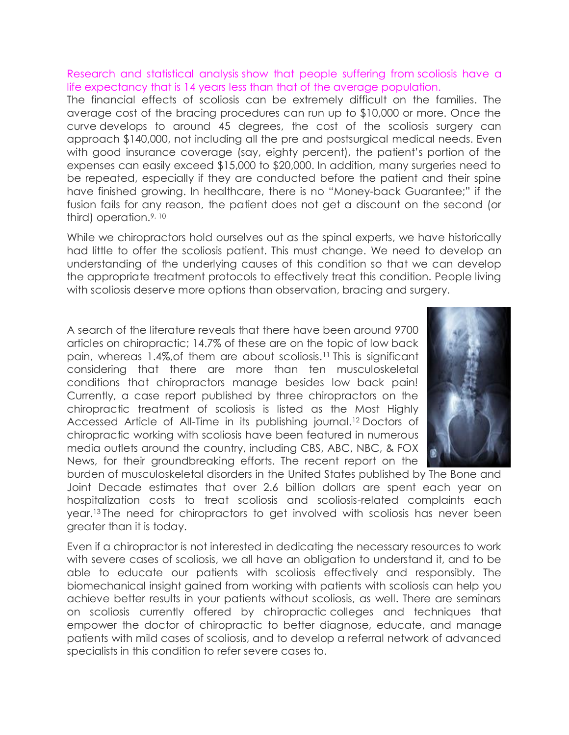Research and statistical analysis show that people suffering from scoliosis have a life expectancy that is 14 years less than that of the average population.

The financial effects of scoliosis can be extremely difficult on the families. The average cost of the bracing procedures can run up to \$10,000 or more. Once the curve develops to around 45 degrees, the cost of the scoliosis surgery can approach \$140,000, not including all the pre and postsurgical medical needs. Even with good insurance coverage (say, eighty percent), the patient's portion of the expenses can easily exceed \$15,000 to \$20,000. In addition, many surgeries need to be repeated, especially if they are conducted before the patient and their spine have finished growing. In healthcare, there is no "Money-back Guarantee;" if the fusion fails for any reason, the patient does not get a discount on the second (or third) operation.9, 10

While we chiropractors hold ourselves out as the spinal experts, we have historically had little to offer the scoliosis patient. This must change. We need to develop an understanding of the underlying causes of this condition so that we can develop the appropriate treatment protocols to effectively treat this condition. People living with scoliosis deserve more options than observation, bracing and surgery.

A search of the literature reveals that there have been around 9700 articles on chiropractic; 14.7% of these are on the topic of low back pain, whereas 1.4%,of them are about scoliosis.<sup>11</sup> This is significant considering that there are more than ten musculoskeletal conditions that chiropractors manage besides low back pain! Currently, a case report published by three chiropractors on the chiropractic treatment of scoliosis is listed as the Most Highly Accessed Article of All-Time in its publishing journal.<sup>12</sup> Doctors of chiropractic working with scoliosis have been featured in numerous media outlets around the country, including CBS, ABC, NBC, & FOX News, for their groundbreaking efforts. The recent report on the



burden of musculoskeletal disorders in the United States published by The Bone and Joint Decade estimates that over 2.6 billion dollars are spent each year on hospitalization costs to treat scoliosis and scoliosis-related complaints each year.<sup>13</sup> The need for chiropractors to get involved with scoliosis has never been greater than it is today.

Even if a chiropractor is not interested in dedicating the necessary resources to work with severe cases of scoliosis, we all have an obligation to understand it, and to be able to educate our patients with scoliosis effectively and responsibly. The biomechanical insight gained from working with patients with scoliosis can help you achieve better results in your patients without scoliosis, as well. There are seminars on scoliosis currently offered by chiropractic colleges and techniques that empower the doctor of chiropractic to better diagnose, educate, and manage patients with mild cases of scoliosis, and to develop a referral network of advanced specialists in this condition to refer severe cases to.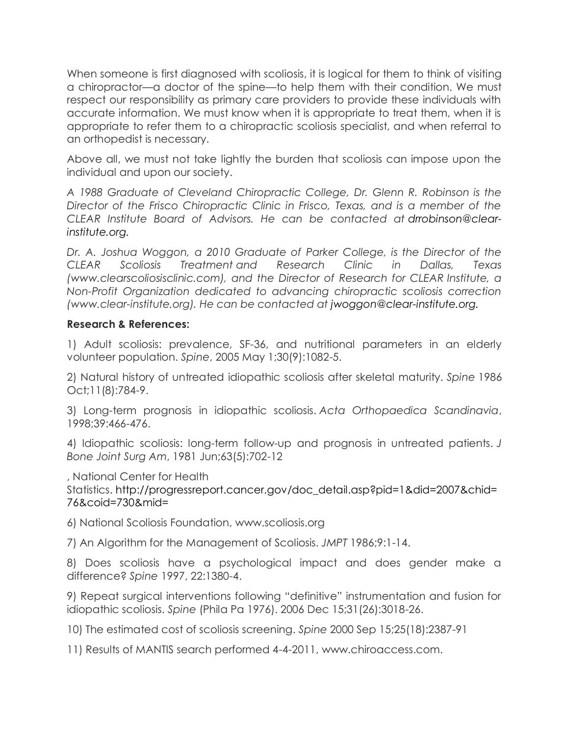When someone is first diagnosed with scoliosis, it is logical for them to think of visiting a chiropractor—a doctor of the spine—to help them with their condition. We must respect our responsibility as primary care providers to provide these individuals with accurate information. We must know when it is appropriate to treat them, when it is appropriate to refer them to a chiropractic scoliosis specialist, and when referral to an orthopedist is necessary.

Above all, we must not take lightly the burden that scoliosis can impose upon the individual and upon our society.

*A 1988 Graduate of Cleveland Chiropractic College, Dr. Glenn R. Robinson is the Director of the Frisco Chiropractic Clinic in Frisco, Texas, and is a member of the CLEAR Institute Board of Advisors. He can be contacted at [drrobinson@clear](mailto:drrobinson@clear-institute.org.)[institute.org.](mailto:drrobinson@clear-institute.org.)*

*Dr. A. Joshua Woggon, a 2010 Graduate of Parker College, is the Director of the CLEAR Scoliosis Treatment and Research Clinic in Dallas, Texas (www.clearscoliosisclinic.com), and the Director of Research for CLEAR Institute, a Non-Profit Organization dedicated to advancing chiropractic scoliosis correction (www.clear-institute.org). He can be contacted at [jwoggon@clear-institute.org.](mailto:jwoggon@clear-institute.org.)*

## **Research & References:**

1) Adult scoliosis: prevalence, SF-36, and nutritional parameters in an elderly volunteer population. *Spine*, 2005 May 1;30(9):1082-5.

2) Natural history of untreated idiopathic scoliosis after skeletal maturity. *Spine* 1986 Oct;11(8):784-9.

3) Long-term prognosis in idiopathic scoliosis. *Acta Orthopaedica Scandinavia*, 1998;39:466-476.

4) Idiopathic scoliosis: long-term follow-up and prognosis in untreated patients. *J Bone Joint Surg Am*, 1981 Jun;63(5):702-12

, National Center for Health

Statistics. [http://progressreport.cancer.gov/doc\\_detail.asp?pid=1&did=2007&chid=](http://progressreport.cancer.gov/doc_detail.asp?pid=1&did=2007&chid=76&coid=730&mid=) [76&coid=730&mid=](http://progressreport.cancer.gov/doc_detail.asp?pid=1&did=2007&chid=76&coid=730&mid=)

6) National Scoliosis Foundation, www.scoliosis.org

7) An Algorithm for the Management of Scoliosis. *JMPT* 1986;9:1-14.

8) Does scoliosis have a psychological impact and does gender make a difference? *Spine* 1997, 22:1380-4.

9) Repeat surgical interventions following "definitive" instrumentation and fusion for idiopathic scoliosis. *Spine* (Phila Pa 1976). 2006 Dec 15;31(26):3018-26.

10) The estimated cost of scoliosis screening. *Spine* 2000 Sep 15;25(18):2387-91

11) Results of MANTIS search performed 4-4-2011, www.chiroaccess.com.